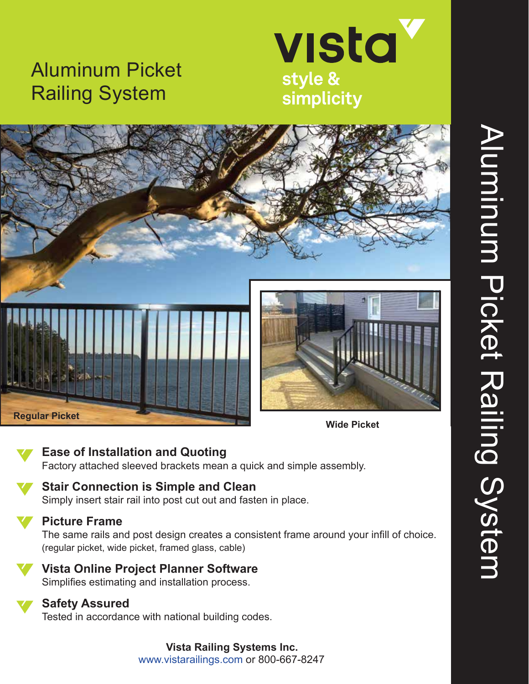# Aluminum Picket Railing System





### **Ease of Installation and Quoting**

Factory attached sleeved brackets mean a quick and simple assembly.

## **Stair Connection is Simple and Clean**

Simply insert stair rail into post cut out and fasten in place.

#### **Picture Frame**

The same rails and post design creates a consistent frame around your infill of choice. (regular picket, wide picket, framed glass, cable)



## **Vista Online Project Planner Software**

Simplifies estimating and installation process.

### **Safety Assured**

Tested in accordance with national building codes.

**Vista Railing Systems Inc.** www.vistarailings.com or 800-667-8247